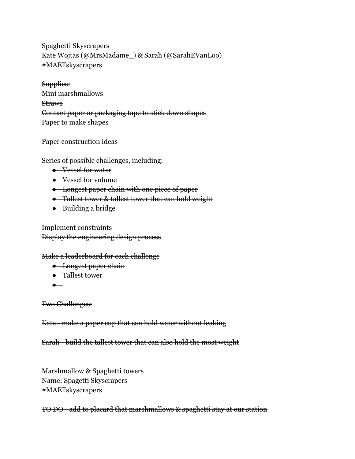Spaghetti Skyscrapers Kate Wojtas (@MrsMadame\_) & Sarah (@SarahEVanLoo) #MAETskyscrapers

Supplies: Mini marshmallows **Straws** Contact paper or packaging tape to stick down shapes Paper to make shapes

Paper construction ideas

Series of possible challenges, including:

- Vessel for water
- Vessel for volume
- Longest paper chain with one piece of paper
- Tallest tower & tallest tower that can hold weight
- Building a bridge

Implement constraints Display the engineering design process

Make a leaderboard for each challenge

- Longest paper chain
- Tallest tower
- ●

Two Challenges:

Kate - make a paper cup that can hold water without leaking

Sarah - build the tallest tower that can also hold the most weight

Marshmallow & Spaghetti towers Name: Spagetti Skyscrapers #MAETskyscrapers

TO DO - add to placard that marshmallows & spaghetti stay at our station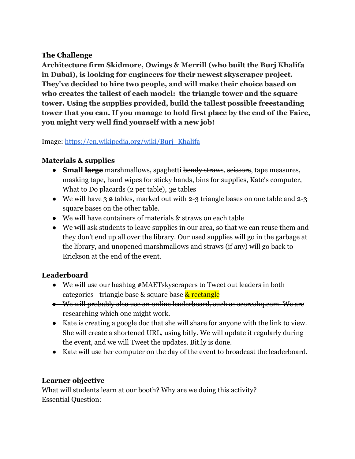#### **The Challenge**

**Architecture firm Skidmore, Owings & Merrill (who built the Burj Khalifa in Dubai), is looking for engineers for their newest skyscraper project. They've decided to hire two people, and will make their choice based on who creates the tallest of each model: the triangle tower and the square tower. Using the supplies provided, build the tallest possible freestanding tower that you can. If you manage to hold first place by the end of the Faire, you might very well find yourself with a new job!**

### Image: [https://en.wikipedia.org/wiki/Burj\\_Khalifa](https://en.wikipedia.org/wiki/Burj_Khalifa)

# **Materials & supplies**

- **Small large** marshmallows, spaghetti bendy straws, seissors, tape measures, masking tape, hand wipes for sticky hands, bins for supplies, Kate's computer, What to Do placards ( $2$  per table),  $32$  tables
- We will have 3 2 tables, marked out with 2-3 triangle bases on one table and 2-3 square bases on the other table.
- We will have containers of materials & straws on each table
- We will ask students to leave supplies in our area, so that we can reuse them and they don't end up all over the library. Our used supplies will go in the garbage at the library, and unopened marshmallows and straws (if any) will go back to Erickson at the end of the event.

# **Leaderboard**

- We will use our hashtag #MAETskyscrapers to Tweet out leaders in both categories - triangle base & square base & rectangle
- We will probably also use an online leaderboard, such as scoreshq.com. We are researching which one might work.
- Kate is creating a google doc that she will share for anyone with the link to view. She will create a shortened URL, using bitly. We will update it regularly during the event, and we will Tweet the updates. Bit.ly is done.
- Kate will use her computer on the day of the event to broadcast the leaderboard.

# **Learner objective**

What will students learn at our booth? Why are we doing this activity? Essential Question: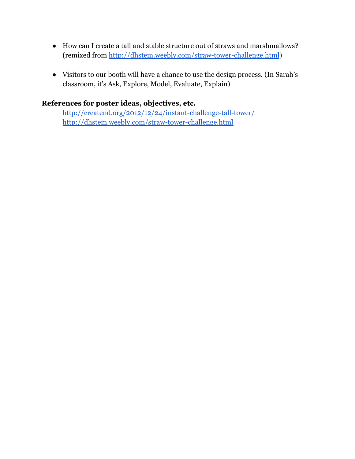- How can I create a tall and stable structure out of straws and marshmallows? (remixed from <http://dhstem.weebly.com/straw-tower-challenge.html>)
- Visitors to our booth will have a chance to use the design process. (In Sarah's classroom, it's Ask, Explore, Model, Evaluate, Explain)

#### **References for poster ideas, objectives, etc.**

<http://creatend.org/2012/12/24/instant-challenge-tall-tower/> <http://dhstem.weebly.com/straw-tower-challenge.html>